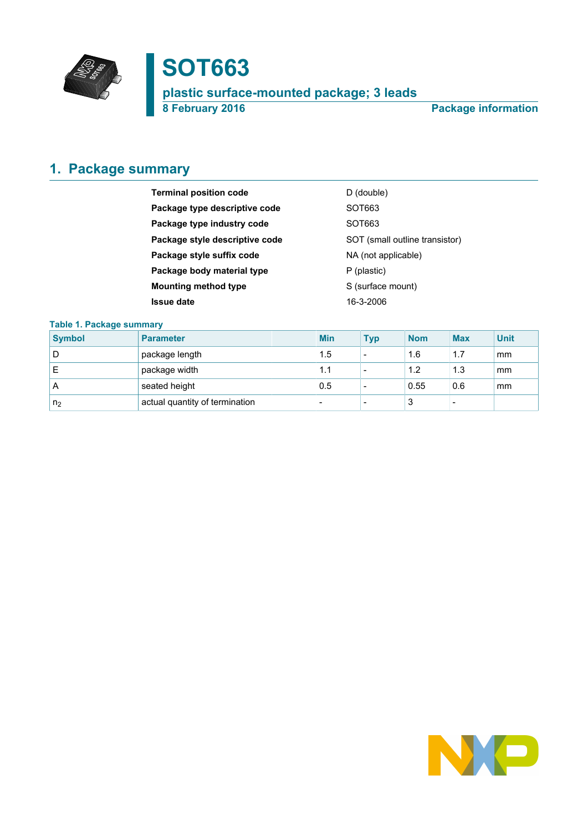

# **SOT663**

**plastic surface-mounted package; 3 leads**

**8 February 2016 Package information**

## <span id="page-0-0"></span>**1. Package summary**

| <b>Terminal position code</b>  | D (double)                     |
|--------------------------------|--------------------------------|
| Package type descriptive code  | SOT663                         |
| Package type industry code     | SOT <sub>663</sub>             |
| Package style descriptive code | SOT (small outline transistor) |
| Package style suffix code      | NA (not applicable)            |
| Package body material type     | P (plastic)                    |
| <b>Mounting method type</b>    | S (surface mount)              |
| <b>Issue date</b>              | 16-3-2006                      |

### **Table 1. Package summary**

| <b>Symbol</b>  | <b>Parameter</b>               | <b>Min</b> | Typ                      | <b>Nom</b> | <b>Max</b> | <b>Unit</b> |
|----------------|--------------------------------|------------|--------------------------|------------|------------|-------------|
| D              | package length                 | 1.5        | $\overline{\phantom{a}}$ | 1.6        | 1.7        | mm          |
| Е              | package width                  | 1.1        | $\overline{\phantom{0}}$ | 1.2        | 1.3        | mm          |
| A              | seated height                  | 0.5        | $\overline{\phantom{a}}$ | 0.55       | 0.6        | mm          |
| n <sub>2</sub> | actual quantity of termination | -          | $\overline{\phantom{0}}$ | 3          | -          |             |

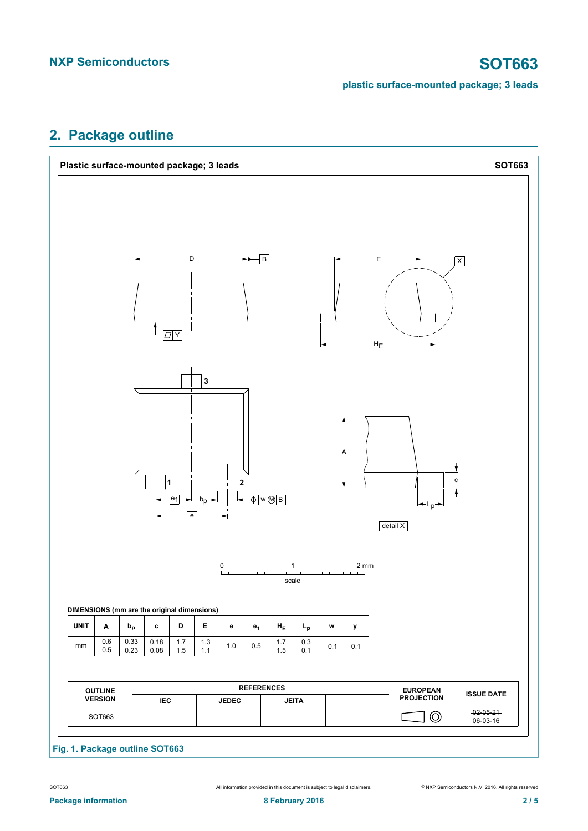## <span id="page-1-0"></span>**2. Package outline**



**Fig. 1. Package outline SOT663**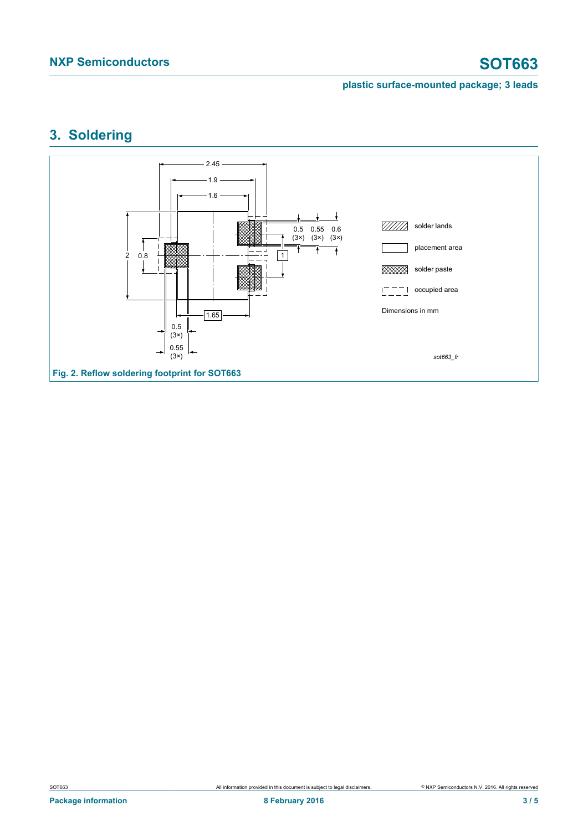

## <span id="page-2-0"></span>**3. Soldering**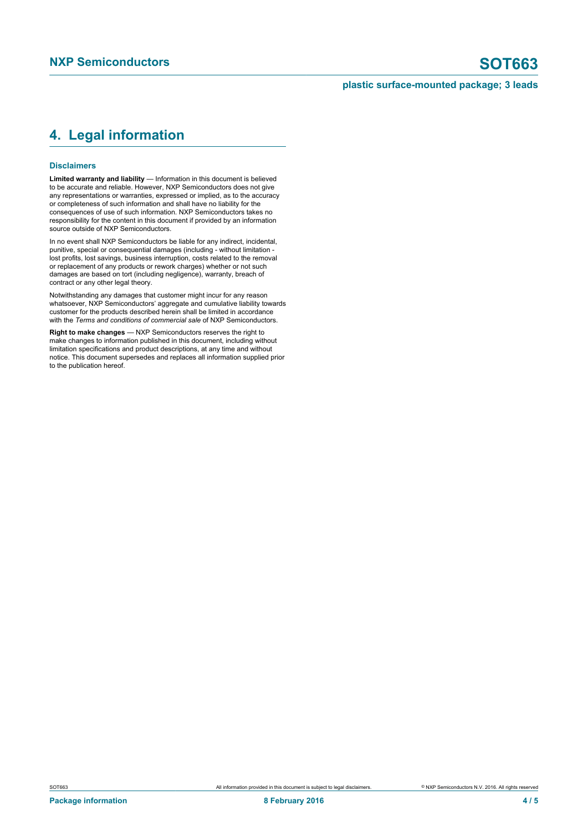## <span id="page-3-0"></span>**4. Legal information**

### **Disclaimers**

**Limited warranty and liability** — Information in this document is believed to be accurate and reliable. However, NXP Semiconductors does not give any representations or warranties, expressed or implied, as to the accuracy or completeness of such information and shall have no liability for the consequences of use of such information. NXP Semiconductors takes no responsibility for the content in this document if provided by an information source outside of NXP Semiconductors.

In no event shall NXP Semiconductors be liable for any indirect, incidental, punitive, special or consequential damages (including - without limitation lost profits, lost savings, business interruption, costs related to the removal or replacement of any products or rework charges) whether or not such damages are based on tort (including negligence), warranty, breach of contract or any other legal theory.

Notwithstanding any damages that customer might incur for any reason whatsoever, NXP Semiconductors' aggregate and cumulative liability towards customer for the products described herein shall be limited in accordance with the *Terms and conditions of commercial sale* of NXP Semiconductors.

**Right to make changes** — NXP Semiconductors reserves the right to make changes to information published in this document, including without limitation specifications and product descriptions, at any time and without notice. This document supersedes and replaces all information supplied prior to the publication hereof.